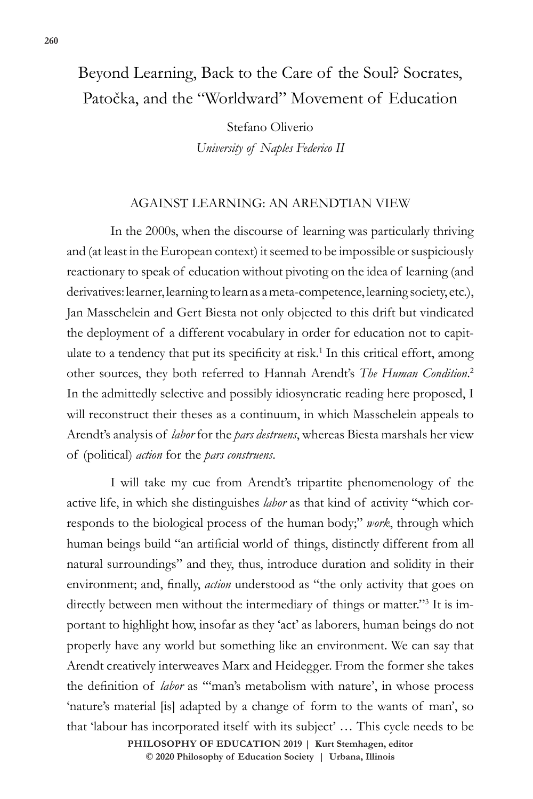# Beyond Learning, Back to the Care of the Soul? Socrates, Patočka, and the "Worldward" Movement of Education

Stefano Oliverio *University of Naples Federico II*

## AGAINST LEARNING: AN ARENDTIAN VIEW

In the 2000s, when the discourse of learning was particularly thriving and (at least in the European context) it seemed to be impossible or suspiciously reactionary to speak of education without pivoting on the idea of learning (and derivatives: learner, learning to learn as a meta-competence, learning society, etc.), Jan Masschelein and Gert Biesta not only objected to this drift but vindicated the deployment of a different vocabulary in order for education not to capitulate to a tendency that put its specificity at risk.<sup>1</sup> In this critical effort, among other sources, they both referred to Hannah Arendt's *The Human Condition*. 2 In the admittedly selective and possibly idiosyncratic reading here proposed, I will reconstruct their theses as a continuum, in which Masschelein appeals to Arendt's analysis of *labor* for the *pars destruens*, whereas Biesta marshals her view of (political) *action* for the *pars construens*.

I will take my cue from Arendt's tripartite phenomenology of the active life, in which she distinguishes *labor* as that kind of activity "which corresponds to the biological process of the human body;" *work*, through which human beings build "an artificial world of things, distinctly different from all natural surroundings" and they, thus, introduce duration and solidity in their environment; and, finally, *action* understood as "the only activity that goes on directly between men without the intermediary of things or matter."<sup>3</sup> It is important to highlight how, insofar as they 'act' as laborers, human beings do not properly have any world but something like an environment. We can say that Arendt creatively interweaves Marx and Heidegger. From the former she takes the definition of *labor* as "'man's metabolism with nature', in whose process 'nature's material [is] adapted by a change of form to the wants of man', so that 'labour has incorporated itself with its subject' … This cycle needs to be

**PHILOSOPHY OF EDUCATION 2019 | Kurt Stemhagen, editor** 

 $\circledcirc$  2020 Philosophy of Education Society | Urbana, Illinois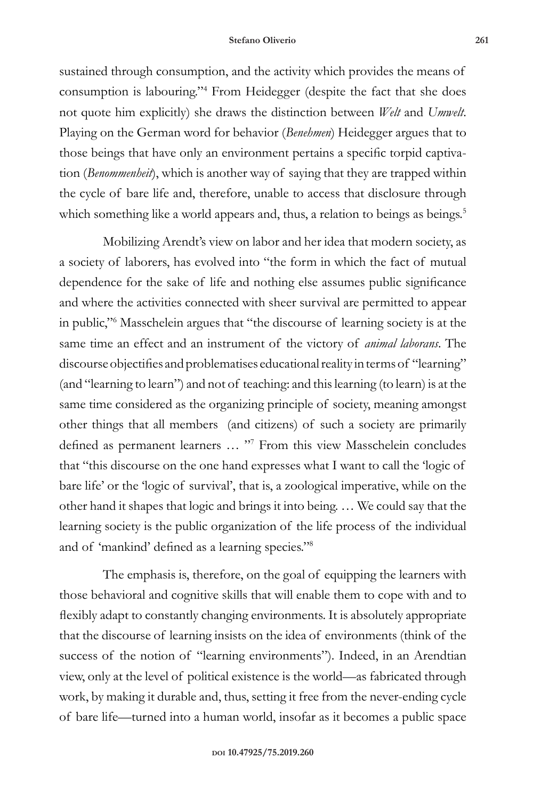#### **Stefano Oliverio 261**

sustained through consumption, and the activity which provides the means of consumption is labouring."<sup>4</sup> From Heidegger (despite the fact that she does not quote him explicitly) she draws the distinction between *Welt* and *Umwelt*. Playing on the German word for behavior (*Benehmen*) Heidegger argues that to those beings that have only an environment pertains a specific torpid captivation (*Benommenheit*), which is another way of saying that they are trapped within the cycle of bare life and, therefore, unable to access that disclosure through which something like a world appears and, thus, a relation to beings as beings.<sup>5</sup>

Mobilizing Arendt's view on labor and her idea that modern society, as a society of laborers, has evolved into "the form in which the fact of mutual dependence for the sake of life and nothing else assumes public significance and where the activities connected with sheer survival are permitted to appear in public,"<sup>6</sup> Masschelein argues that "the discourse of learning society is at the same time an effect and an instrument of the victory of *animal laborans*. The discourse objectifies and problematises educational reality in terms of "learning" (and "learning to learn") and not of teaching: and this learning (to learn) is at the same time considered as the organizing principle of society, meaning amongst other things that all members (and citizens) of such a society are primarily defined as permanent learners ... "7 From this view Masschelein concludes that "this discourse on the one hand expresses what I want to call the 'logic of bare life' or the 'logic of survival', that is, a zoological imperative, while on the other hand it shapes that logic and brings it into being. … We could say that the learning society is the public organization of the life process of the individual and of 'mankind' defined as a learning species."<sup>8</sup>

The emphasis is, therefore, on the goal of equipping the learners with those behavioral and cognitive skills that will enable them to cope with and to flexibly adapt to constantly changing environments. It is absolutely appropriate that the discourse of learning insists on the idea of environments (think of the success of the notion of "learning environments"). Indeed, in an Arendtian view, only at the level of political existence is the world—as fabricated through work, by making it durable and, thus, setting it free from the never-ending cycle of bare life—turned into a human world, insofar as it becomes a public space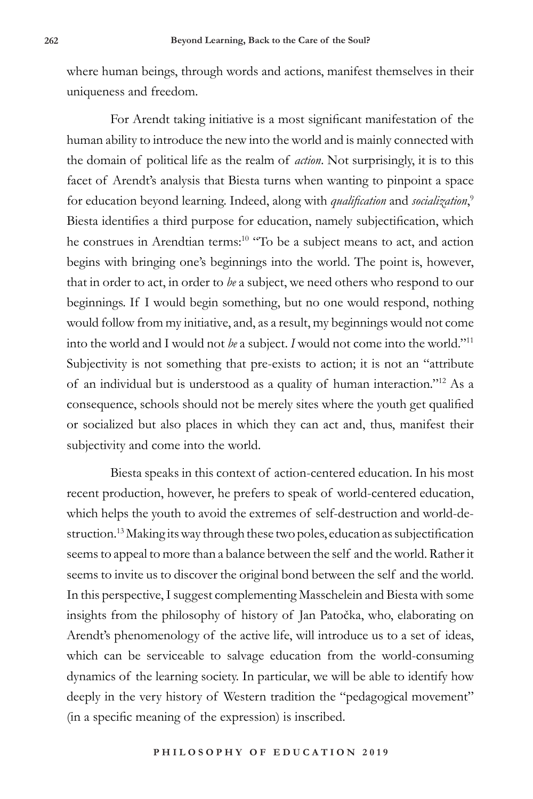where human beings, through words and actions, manifest themselves in their uniqueness and freedom.

For Arendt taking initiative is a most significant manifestation of the human ability to introduce the new into the world and is mainly connected with the domain of political life as the realm of *action*. Not surprisingly, it is to this facet of Arendt's analysis that Biesta turns when wanting to pinpoint a space for education beyond learning. Indeed, along with *qualification* and *socialization*, 9 Biesta identifies a third purpose for education, namely subjectification, which he construes in Arendtian terms:<sup>10</sup> "To be a subject means to act, and action begins with bringing one's beginnings into the world. The point is, however, that in order to act, in order to *be* a subject, we need others who respond to our beginnings. If I would begin something, but no one would respond, nothing would follow from my initiative, and, as a result, my beginnings would not come into the world and I would not *be* a subject. *I* would not come into the world."<sup>11</sup> Subjectivity is not something that pre-exists to action; it is not an "attribute of an individual but is understood as a quality of human interaction."12 As a consequence, schools should not be merely sites where the youth get qualified or socialized but also places in which they can act and, thus, manifest their subjectivity and come into the world.

Biesta speaks in this context of action-centered education. In his most recent production, however, he prefers to speak of world-centered education, which helps the youth to avoid the extremes of self-destruction and world-destruction.<sup>13</sup> Making its way through these two poles, education as subjectification seems to appeal to more than a balance between the self and the world. Rather it seems to invite us to discover the original bond between the self and the world. In this perspective, I suggest complementing Masschelein and Biesta with some insights from the philosophy of history of Jan Patočka, who, elaborating on Arendt's phenomenology of the active life, will introduce us to a set of ideas, which can be serviceable to salvage education from the world-consuming dynamics of the learning society. In particular, we will be able to identify how deeply in the very history of Western tradition the "pedagogical movement" (in a specific meaning of the expression) is inscribed.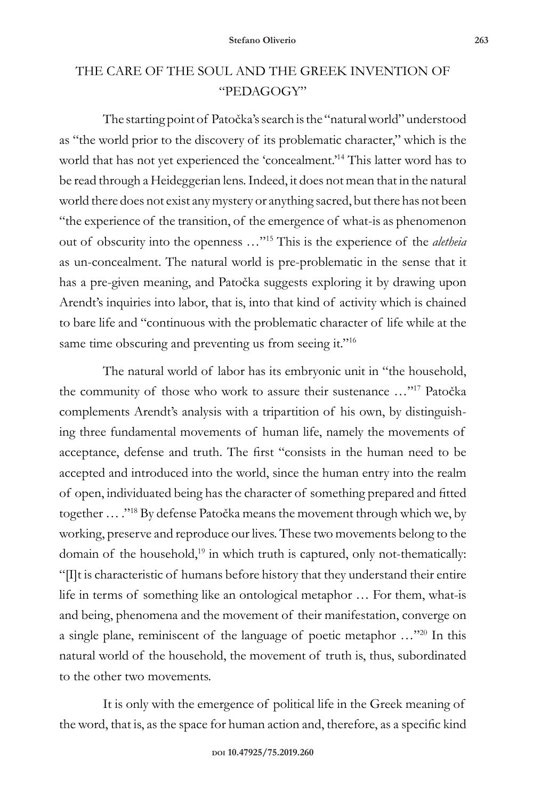## THE CARE OF THE SOUL AND THE GREEK INVENTION OF "PEDAGOGY"

The starting point of Patočka's search is the "natural world" understood as "the world prior to the discovery of its problematic character," which is the world that has not yet experienced the 'concealment.'<sup>14</sup> This latter word has to be read through a Heideggerian lens. Indeed, it does not mean that in the natural world there does not exist any mystery or anything sacred, but there has not been "the experience of the transition, of the emergence of what-is as phenomenon out of obscurity into the openness …"<sup>15</sup> This is the experience of the *aletheia* as un-concealment. The natural world is pre-problematic in the sense that it has a pre-given meaning, and Patočka suggests exploring it by drawing upon Arendt's inquiries into labor, that is, into that kind of activity which is chained to bare life and "continuous with the problematic character of life while at the same time obscuring and preventing us from seeing it."<sup>16</sup>

The natural world of labor has its embryonic unit in "the household, the community of those who work to assure their sustenance …"<sup>17</sup> Patočka complements Arendt's analysis with a tripartition of his own, by distinguishing three fundamental movements of human life, namely the movements of acceptance, defense and truth. The first "consists in the human need to be accepted and introduced into the world, since the human entry into the realm of open, individuated being has the character of something prepared and fitted together … ."<sup>18</sup> By defense Patočka means the movement through which we, by working, preserve and reproduce our lives. These two movements belong to the domain of the household, $19$  in which truth is captured, only not-thematically: "[I]t is characteristic of humans before history that they understand their entire life in terms of something like an ontological metaphor … For them, what-is and being, phenomena and the movement of their manifestation, converge on a single plane, reminiscent of the language of poetic metaphor …"20 In this natural world of the household, the movement of truth is, thus, subordinated to the other two movements.

It is only with the emergence of political life in the Greek meaning of the word, that is, as the space for human action and, therefore, as a specific kind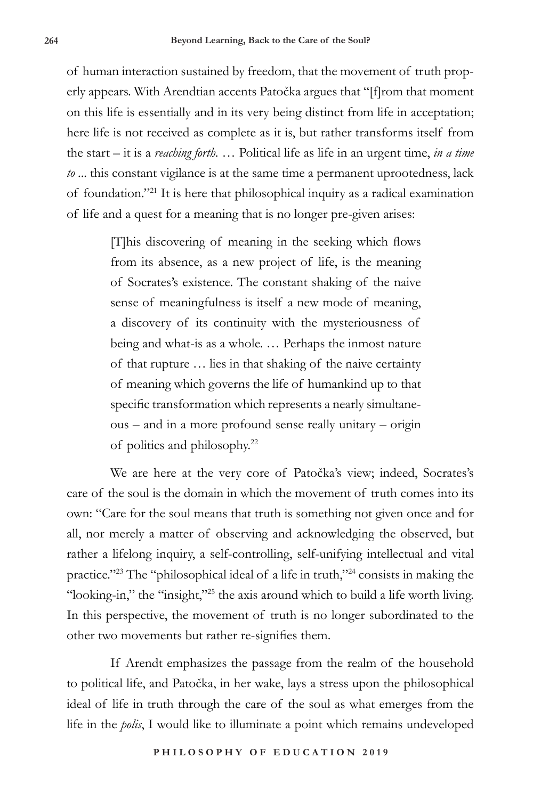of human interaction sustained by freedom, that the movement of truth properly appears. With Arendtian accents Patočka argues that "[f]rom that moment on this life is essentially and in its very being distinct from life in acceptation; here life is not received as complete as it is, but rather transforms itself from the start – it is a *reaching forth.* … Political life as life in an urgent time, *in a time to* ... this constant vigilance is at the same time a permanent uprootedness, lack of foundation."<sup>21</sup> It is here that philosophical inquiry as a radical examination of life and a quest for a meaning that is no longer pre-given arises:

> [T]his discovering of meaning in the seeking which flows from its absence, as a new project of life, is the meaning of Socrates's existence. The constant shaking of the naive sense of meaningfulness is itself a new mode of meaning, a discovery of its continuity with the mysteriousness of being and what-is as a whole. … Perhaps the inmost nature of that rupture … lies in that shaking of the naive certainty of meaning which governs the life of humankind up to that specific transformation which represents a nearly simultaneous – and in a more profound sense really unitary – origin of politics and philosophy.<sup>22</sup>

We are here at the very core of Patočka's view; indeed, Socrates's care of the soul is the domain in which the movement of truth comes into its own: "Care for the soul means that truth is something not given once and for all, nor merely a matter of observing and acknowledging the observed, but rather a lifelong inquiry, a self-controlling, self-unifying intellectual and vital practice."<sup>23</sup> The "philosophical ideal of a life in truth,"<sup>24</sup> consists in making the "looking-in," the "insight,"<sup>25</sup> the axis around which to build a life worth living. In this perspective, the movement of truth is no longer subordinated to the other two movements but rather re-signifies them.

If Arendt emphasizes the passage from the realm of the household to political life, and Patočka, in her wake, lays a stress upon the philosophical ideal of life in truth through the care of the soul as what emerges from the life in the *polis*, I would like to illuminate a point which remains undeveloped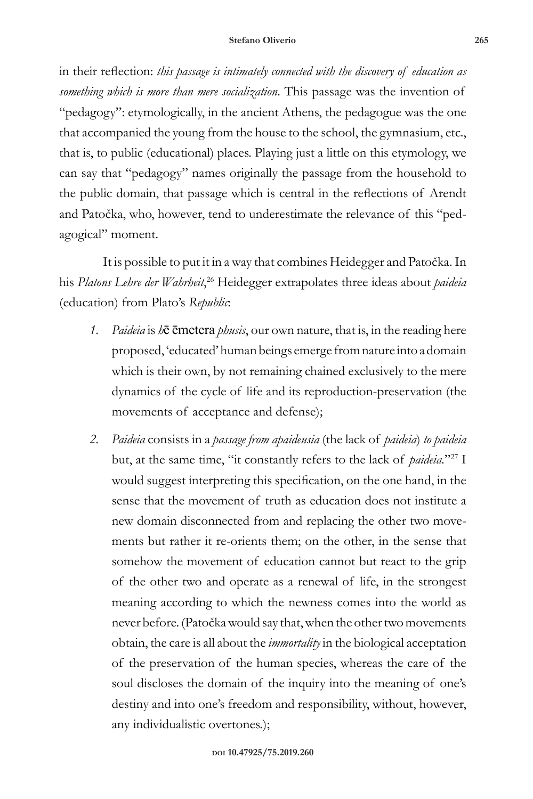### **Stefano Oliverio 265**

in their reflection: *this passage is intimately connected with the discovery of education as something which is more than mere socialization*. This passage was the invention of "pedagogy": etymologically, in the ancient Athens, the pedagogue was the one that accompanied the young from the house to the school, the gymnasium, etc., that is, to public (educational) places. Playing just a little on this etymology, we can say that "pedagogy" names originally the passage from the household to the public domain, that passage which is central in the reflections of Arendt and Patočka, who, however, tend to underestimate the relevance of this "pedagogical" moment.

It is possible to put it in a way that combines Heidegger and Patočka. In his *Platons Lehre der Wahrheit*, <sup>26</sup> Heidegger extrapolates three ideas about *paideia*  (education) from Plato's *Republic*:

- *1. Paideia* is *h*ē ēmetera *phusis*, our own nature, that is, in the reading here proposed, 'educated' human beings emerge from nature into a domain which is their own, by not remaining chained exclusively to the mere dynamics of the cycle of life and its reproduction-preservation (the movements of acceptance and defense);
- *2. Paideia* consists in a *passage from apaideusia* (the lack of *paideia*) *to paideia*  but, at the same time, "it constantly refers to the lack of *paideia*."<sup>27</sup> I would suggest interpreting this specification, on the one hand, in the sense that the movement of truth as education does not institute a new domain disconnected from and replacing the other two movements but rather it re-orients them; on the other, in the sense that somehow the movement of education cannot but react to the grip of the other two and operate as a renewal of life, in the strongest meaning according to which the newness comes into the world as never before. (Patočka would say that, when the other two movements obtain, the care is all about the *immortality* in the biological acceptation of the preservation of the human species, whereas the care of the soul discloses the domain of the inquiry into the meaning of one's destiny and into one's freedom and responsibility, without, however, any individualistic overtones.);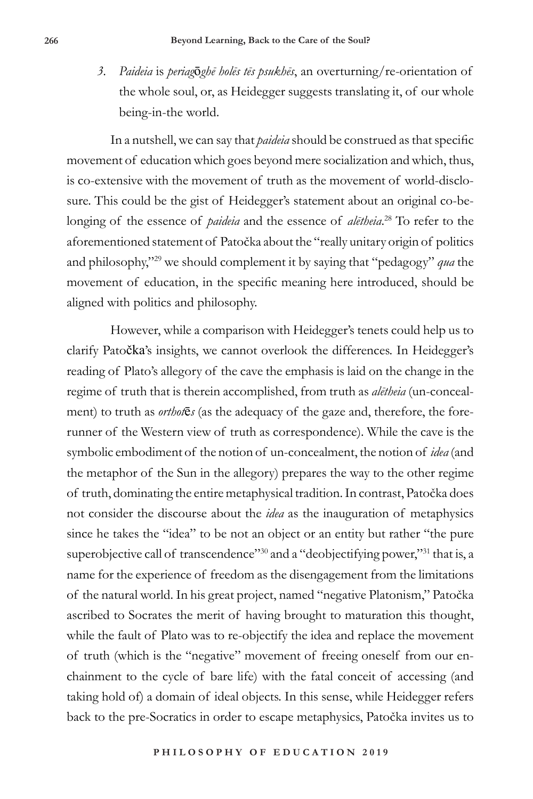*3. Paideia* is *periag*ō*ghē holēs tēs psukhēs*, an overturning/re-orientation of the whole soul, or, as Heidegger suggests translating it, of our whole being-in-the world.

In a nutshell, we can say that *paideia* should be construed as that specific movement of education which goes beyond mere socialization and which, thus, is co-extensive with the movement of truth as the movement of world-disclosure. This could be the gist of Heidegger's statement about an original co-belonging of the essence of *paideia* and the essence of *alētheia*. 28 To refer to the aforementioned statement of Patočka about the "really unitary origin of politics and philosophy,"<sup>29</sup> we should complement it by saying that "pedagogy" *qua* the movement of education, in the specific meaning here introduced, should be aligned with politics and philosophy.

However, while a comparison with Heidegger's tenets could help us to clarify Patočka's insights, we cannot overlook the differences. In Heidegger's reading of Plato's allegory of the cave the emphasis is laid on the change in the regime of truth that is therein accomplished, from truth as *alētheia* (un-concealment) to truth as *orthot*ē*s* (as the adequacy of the gaze and, therefore, the forerunner of the Western view of truth as correspondence). While the cave is the symbolic embodiment of the notion of un-concealment, the notion of *idea* (and the metaphor of the Sun in the allegory) prepares the way to the other regime of truth, dominating the entire metaphysical tradition. In contrast, Patočka does not consider the discourse about the *idea* as the inauguration of metaphysics since he takes the "idea" to be not an object or an entity but rather "the pure superobjective call of transcendence"<sup>30</sup> and a "deobjectifying power,"<sup>31</sup> that is, a name for the experience of freedom as the disengagement from the limitations of the natural world. In his great project, named "negative Platonism," Patočka ascribed to Socrates the merit of having brought to maturation this thought, while the fault of Plato was to re-objectify the idea and replace the movement of truth (which is the "negative" movement of freeing oneself from our enchainment to the cycle of bare life) with the fatal conceit of accessing (and taking hold of) a domain of ideal objects. In this sense, while Heidegger refers back to the pre-Socratics in order to escape metaphysics, Patočka invites us to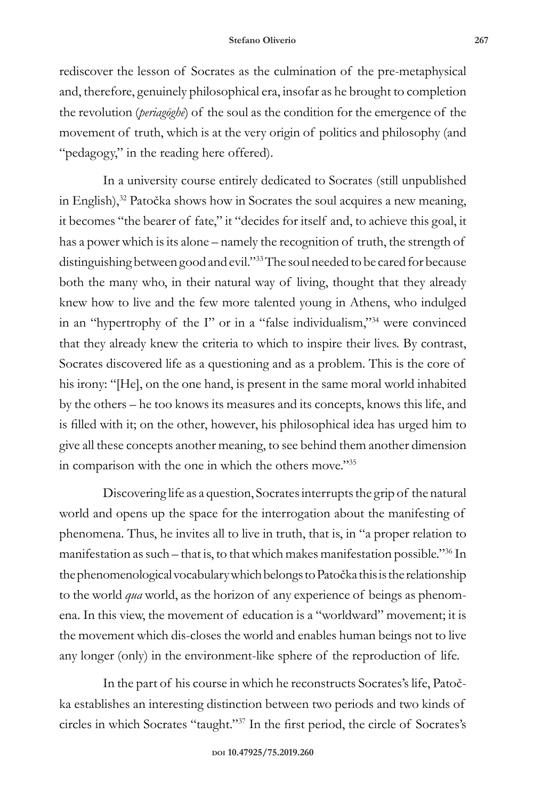rediscover the lesson of Socrates as the culmination of the pre-metaphysical and, therefore, genuinely philosophical era, insofar as he brought to completion the revolution (*periagōghē*) of the soul as the condition for the emergence of the movement of truth, which is at the very origin of politics and philosophy (and "pedagogy," in the reading here offered).

In a university course entirely dedicated to Socrates (still unpublished in English),<sup>32</sup> Patočka shows how in Socrates the soul acquires a new meaning, it becomes "the bearer of fate," it "decides for itself and, to achieve this goal, it has a power which is its alone – namely the recognition of truth, the strength of distinguishing between good and evil."<sup>33</sup> The soul needed to be cared for because both the many who, in their natural way of living, thought that they already knew how to live and the few more talented young in Athens, who indulged in an "hypertrophy of the I" or in a "false individualism,"<sup>34</sup> were convinced that they already knew the criteria to which to inspire their lives. By contrast, Socrates discovered life as a questioning and as a problem. This is the core of his irony: "[He], on the one hand, is present in the same moral world inhabited by the others – he too knows its measures and its concepts, knows this life, and is filled with it; on the other, however, his philosophical idea has urged him to give all these concepts another meaning, to see behind them another dimension in comparison with the one in which the others move."<sup>35</sup>

Discovering life as a question, Socrates interrupts the grip of the natural world and opens up the space for the interrogation about the manifesting of phenomena. Thus, he invites all to live in truth, that is, in "a proper relation to manifestation as such – that is, to that which makes manifestation possible."36 In the phenomenological vocabulary which belongs to Patočka this is the relationship to the world *qua* world, as the horizon of any experience of beings as phenomena. In this view, the movement of education is a "worldward" movement; it is the movement which dis-closes the world and enables human beings not to live any longer (only) in the environment-like sphere of the reproduction of life.

In the part of his course in which he reconstructs Socrates's life, Patočka establishes an interesting distinction between two periods and two kinds of circles in which Socrates "taught."37 In the first period, the circle of Socrates's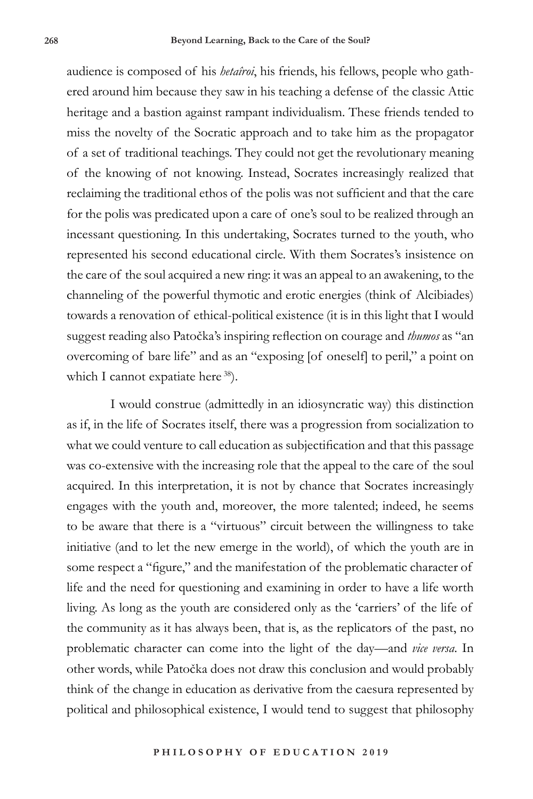audience is composed of his *hetaîroi*, his friends, his fellows, people who gathered around him because they saw in his teaching a defense of the classic Attic heritage and a bastion against rampant individualism. These friends tended to miss the novelty of the Socratic approach and to take him as the propagator of a set of traditional teachings. They could not get the revolutionary meaning of the knowing of not knowing. Instead, Socrates increasingly realized that reclaiming the traditional ethos of the polis was not sufficient and that the care for the polis was predicated upon a care of one's soul to be realized through an incessant questioning. In this undertaking, Socrates turned to the youth, who represented his second educational circle. With them Socrates's insistence on the care of the soul acquired a new ring: it was an appeal to an awakening, to the channeling of the powerful thymotic and erotic energies (think of Alcibiades) towards a renovation of ethical-political existence (it is in this light that I would suggest reading also Patočka's inspiring reflection on courage and *thumos* as "an overcoming of bare life" and as an "exposing [of oneself] to peril," a point on which I cannot expatiate here 38).

I would construe (admittedly in an idiosyncratic way) this distinction as if, in the life of Socrates itself, there was a progression from socialization to what we could venture to call education as subjectification and that this passage was co-extensive with the increasing role that the appeal to the care of the soul acquired. In this interpretation, it is not by chance that Socrates increasingly engages with the youth and, moreover, the more talented; indeed, he seems to be aware that there is a "virtuous" circuit between the willingness to take initiative (and to let the new emerge in the world), of which the youth are in some respect a "figure," and the manifestation of the problematic character of life and the need for questioning and examining in order to have a life worth living. As long as the youth are considered only as the 'carriers' of the life of the community as it has always been, that is, as the replicators of the past, no problematic character can come into the light of the day—and *vice versa*. In other words, while Patočka does not draw this conclusion and would probably think of the change in education as derivative from the caesura represented by political and philosophical existence, I would tend to suggest that philosophy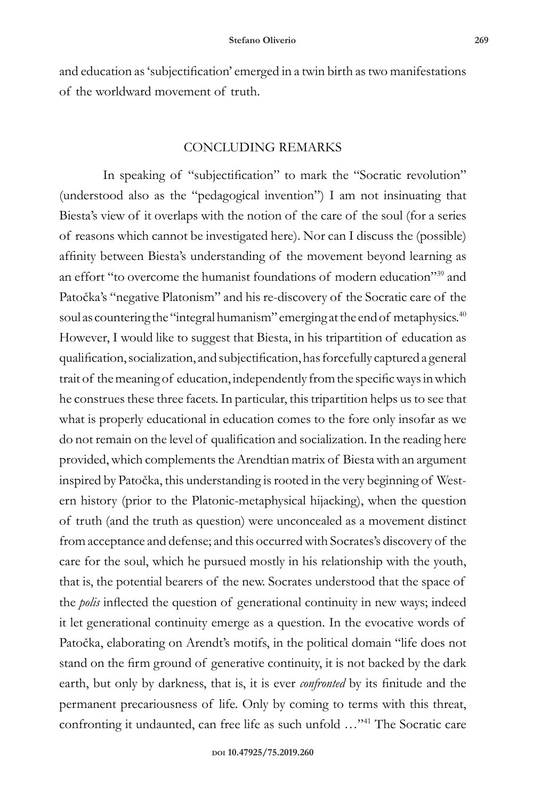and education as 'subjectification' emerged in a twin birth as two manifestations of the worldward movement of truth.

### CONCLUDING REMARKS

In speaking of "subjectification" to mark the "Socratic revolution" (understood also as the "pedagogical invention") I am not insinuating that Biesta's view of it overlaps with the notion of the care of the soul (for a series of reasons which cannot be investigated here). Nor can I discuss the (possible) affinity between Biesta's understanding of the movement beyond learning as an effort "to overcome the humanist foundations of modern education"39 and Patočka's "negative Platonism" and his re-discovery of the Socratic care of the soul as countering the "integral humanism" emerging at the end of metaphysics.<sup>40</sup> However, I would like to suggest that Biesta, in his tripartition of education as qualification, socialization, and subjectification, has forcefully captured a general trait of the meaning of education, independently from the specific ways in which he construes these three facets. In particular, this tripartition helps us to see that what is properly educational in education comes to the fore only insofar as we do not remain on the level of qualification and socialization. In the reading here provided, which complements the Arendtian matrix of Biesta with an argument inspired by Patočka, this understanding is rooted in the very beginning of Western history (prior to the Platonic-metaphysical hijacking), when the question of truth (and the truth as question) were unconcealed as a movement distinct from acceptance and defense; and this occurred with Socrates's discovery of the care for the soul, which he pursued mostly in his relationship with the youth, that is, the potential bearers of the new. Socrates understood that the space of the *polis* inflected the question of generational continuity in new ways; indeed it let generational continuity emerge as a question. In the evocative words of Patočka, elaborating on Arendt's motifs, in the political domain "life does not stand on the firm ground of generative continuity, it is not backed by the dark earth, but only by darkness, that is, it is ever *confronted* by its finitude and the permanent precariousness of life. Only by coming to terms with this threat, confronting it undaunted, can free life as such unfold …"41 The Socratic care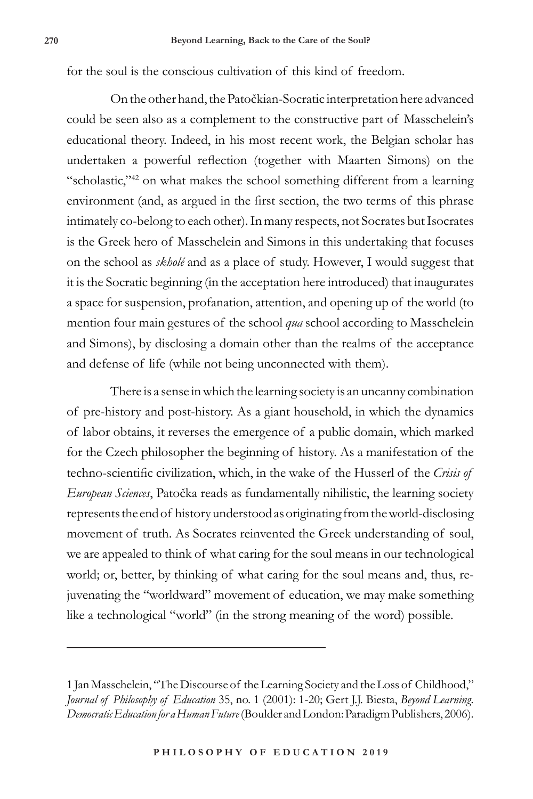for the soul is the conscious cultivation of this kind of freedom.

On the other hand, the Patočkian-Socratic interpretation here advanced could be seen also as a complement to the constructive part of Masschelein's educational theory. Indeed, in his most recent work, the Belgian scholar has undertaken a powerful reflection (together with Maarten Simons) on the "scholastic,"<sup>42</sup> on what makes the school something different from a learning environment (and, as argued in the first section, the two terms of this phrase intimately co-belong to each other). In many respects, not Socrates but Isocrates is the Greek hero of Masschelein and Simons in this undertaking that focuses on the school as *skholé* and as a place of study. However, I would suggest that it is the Socratic beginning (in the acceptation here introduced) that inaugurates a space for suspension, profanation, attention, and opening up of the world (to mention four main gestures of the school *qua* school according to Masschelein and Simons), by disclosing a domain other than the realms of the acceptance and defense of life (while not being unconnected with them).

There is a sense in which the learning society is an uncanny combination of pre-history and post-history. As a giant household, in which the dynamics of labor obtains, it reverses the emergence of a public domain, which marked for the Czech philosopher the beginning of history. As a manifestation of the techno-scientific civilization, which, in the wake of the Husserl of the *Crisis of European Sciences*, Patočka reads as fundamentally nihilistic, the learning society represents the end of history understood as originating from the world-disclosing movement of truth. As Socrates reinvented the Greek understanding of soul, we are appealed to think of what caring for the soul means in our technological world; or, better, by thinking of what caring for the soul means and, thus, rejuvenating the "worldward" movement of education, we may make something like a technological "world" (in the strong meaning of the word) possible.

<sup>1</sup> Jan Masschelein, "The Discourse of the Learning Society and the Loss of Childhood," *Journal of Philosophy of Education* 35, no. 1 (2001): 1-20; Gert J.J. Biesta, *Beyond Learning. Democratic Education for a Human Future* (Boulder and London: Paradigm Publishers, 2006).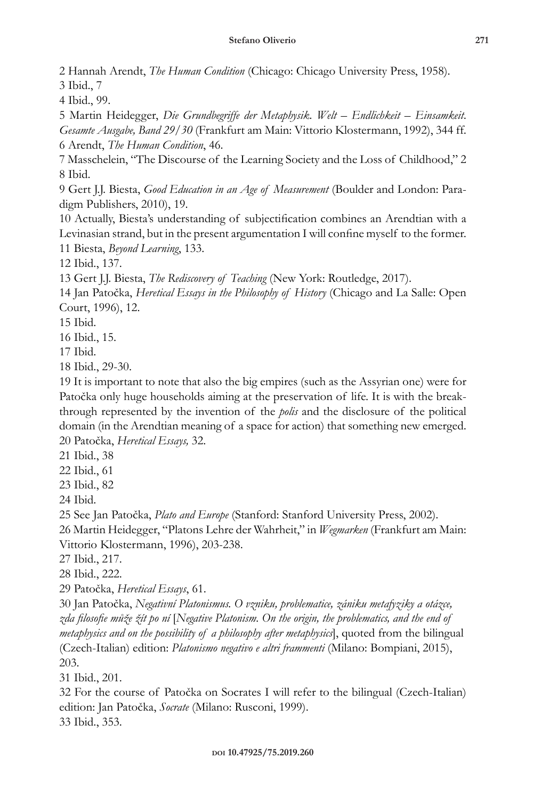2 Hannah Arendt, *The Human Condition* (Chicago: Chicago University Press, 1958).

3 Ibid., 7

4 Ibid., 99.

5 Martin Heidegger, *Die Grundbegriffe der Metaphysik. Welt – Endlichkeit – Einsamkeit*. *Gesamte Ausgabe, Band 29/30* (Frankfurt am Main: Vittorio Klostermann, 1992), 344 ff. 6 Arendt, *The Human Condition*, 46.

7 Masschelein, "The Discourse of the Learning Society and the Loss of Childhood," 2 8 Ibid.

9 Gert J.J. Biesta, *Good Education in an Age of Measurement* (Boulder and London: Paradigm Publishers, 2010), 19.

10 Actually, Biesta's understanding of subjectification combines an Arendtian with a Levinasian strand, but in the present argumentation I will confine myself to the former. 11 Biesta, *Beyond Learning*, 133.

12 Ibid., 137.

13 Gert J.J. Biesta, *The Rediscovery of Teaching* (New York: Routledge, 2017).

14 Jan Patočka, *Heretical Essays in the Philosophy of History* (Chicago and La Salle: Open Court, 1996), 12.

15 Ibid.

16 Ibid., 15.

17 Ibid.

18 Ibid., 29-30.

19 It is important to note that also the big empires (such as the Assyrian one) were for Patočka only huge households aiming at the preservation of life. It is with the breakthrough represented by the invention of the *polis* and the disclosure of the political domain (in the Arendtian meaning of a space for action) that something new emerged. 20 Patočka, *Heretical Essays,* 32.

21 Ibid., 38

22 Ibid., 61

23 Ibid., 82

24 Ibid.

25 See Jan Patočka, *Plato and Europe* (Stanford: Stanford University Press, 2002).

26 Martin Heidegger, "Platons Lehre der Wahrheit," in *Wegmarken* (Frankfurt am Main: Vittorio Klostermann, 1996), 203-238.

27 Ibid., 217.

28 Ibid., 222.

29 Patočka, *Heretical Essays*, 61.

30 Jan Patočka, *Negativní Platonismus. O vzniku, problematice, zániku metafyziky a otázce, zda filosofie může žít po ní* [*Negative Platonism. On the origin, the problematics, and the end of metaphysics and on the possibility of a philosophy after metaphysics*], quoted from the bilingual (Czech-Italian) edition: *Platonismo negativo e altri frammenti* (Milano: Bompiani, 2015), 203.

31 Ibid., 201.

32 For the course of Patočka on Socrates I will refer to the bilingual (Czech-Italian) edition: Jan Patočka, *Socrate* (Milano: Rusconi, 1999). 33 Ibid., 353.